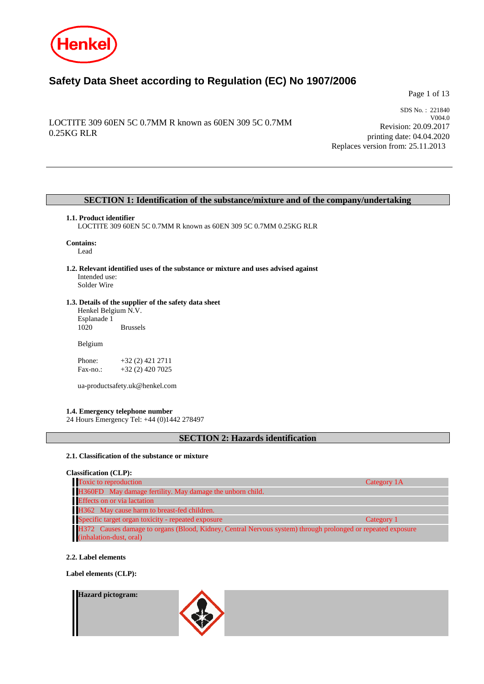

# **Safety Data Sheet according to Regulation (EC) No 1907/2006**

Page 1 of 13

# LOCTITE 309 60EN 5C 0.7MM R known as 60EN 309 5C 0.7MM 0.25KG RLR

SDS No. : 221840 V004.0 Revision: 20.09.2017 printing date: 04.04.2020 Replaces version from: 25.11.2013

# **SECTION 1: Identification of the substance/mixture and of the company/undertaking**

# **1.1. Product identifier**

LOCTITE 309 60EN 5C 0.7MM R known as 60EN 309 5C 0.7MM 0.25KG RLR

# **Contains:**

Lead

**1.2. Relevant identified uses of the substance or mixture and uses advised against** Intended use: Solder Wire

# **1.3. Details of the supplier of the safety data sheet**

Henkel Belgium N.V. Esplanade 1 **Brussels** 

Belgium

Phone: +32 (2) 421 2711<br>Fax-no.: +32 (2) 420 7025 +32 (2) 420 7025

ua-productsafety.uk@henkel.com

## **1.4. Emergency telephone number**

24 Hours Emergency Tel: +44 (0)1442 278497

# **SECTION 2: Hazards identification**

## **2.1. Classification of the substance or mixture**

**Classification (CLP):**

| Toxic to reproduction                                                                                       | Category 1A |
|-------------------------------------------------------------------------------------------------------------|-------------|
| H360FD May damage fertility. May damage the unborn child.                                                   |             |
| <b>Effects</b> on or via lactation                                                                          |             |
| H362 May cause harm to breast-fed children.                                                                 |             |
| Specific target organ toxicity - repeated exposure                                                          | Category 1  |
| H372 Causes damage to organs (Blood, Kidney, Central Nervous system) through prolonged or repeated exposure |             |
| (inhalation-dust, oral)                                                                                     |             |

# **2.2. Label elements**

**Label elements (CLP):**

#### **Hazard pictogram:**

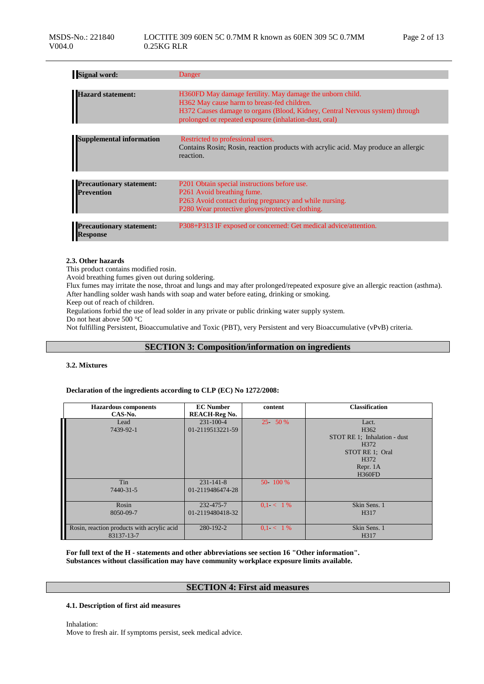| <b>Signal word:</b>                                | Danger                                                                                                                                                                                                                                             |
|----------------------------------------------------|----------------------------------------------------------------------------------------------------------------------------------------------------------------------------------------------------------------------------------------------------|
|                                                    |                                                                                                                                                                                                                                                    |
| <b>Hazard statement:</b>                           | H360FD May damage fertility. May damage the unborn child.<br>H362 May cause harm to breast-fed children.<br>H372 Causes damage to organs (Blood, Kidney, Central Nervous system) through<br>prolonged or repeated exposure (inhalation-dust, oral) |
|                                                    |                                                                                                                                                                                                                                                    |
| <b>Supplemental information</b>                    | Restricted to professional users.<br>Contains Rosin; Rosin, reaction products with acrylic acid. May produce an allergic<br>reaction.                                                                                                              |
|                                                    |                                                                                                                                                                                                                                                    |
| <b>Precautionary statement:</b><br>Prevention      | P201 Obtain special instructions before use.<br>P261 Avoid breathing fume.<br>P263 Avoid contact during pregnancy and while nursing.<br>P280 Wear protective gloves/protective clothing.                                                           |
|                                                    |                                                                                                                                                                                                                                                    |
| <b>Precautionary statement:</b><br><b>Response</b> | P308+P313 IF exposed or concerned: Get medical advice/attention.                                                                                                                                                                                   |

### **2.3. Other hazards**

This product contains modified rosin.

Avoid breathing fumes given out during soldering.

Flux fumes may irritate the nose, throat and lungs and may after prolonged/repeated exposure give an allergic reaction (asthma). After handling solder wash hands with soap and water before eating, drinking or smoking.

Keep out of reach of children.

Regulations forbid the use of lead solder in any private or public drinking water supply system.

Do not heat above 500 °C

Not fulfilling Persistent, Bioaccumulative and Toxic (PBT), very Persistent and very Bioaccumulative (vPvB) criteria.

# **SECTION 3: Composition/information on ingredients**

## **3.2. Mixtures**

## **Declaration of the ingredients according to CLP (EC) No 1272/2008:**

| <b>Hazardous</b> components<br>CAS-No.                   | <b>EC Number</b><br><b>REACH-Reg No.</b> | content     | <b>Classification</b>                                                                                                     |
|----------------------------------------------------------|------------------------------------------|-------------|---------------------------------------------------------------------------------------------------------------------------|
| Lead<br>7439-92-1                                        | $231 - 100 - 4$<br>01-2119513221-59      | $25 - 50%$  | Lact.<br>H <sub>362</sub><br>STOT RE 1: Inhalation - dust<br>H372<br>STOT RE 1: Oral<br>H372<br>Repr. 1A<br><b>H360FD</b> |
| Tin<br>7440-31-5                                         | $231 - 141 - 8$<br>01-2119486474-28      | 50-100 %    |                                                                                                                           |
| Rosin<br>8050-09-7                                       | 232-475-7<br>01-2119480418-32            | $0.1 < 1\%$ | Skin Sens. 1<br>H317                                                                                                      |
| Rosin, reaction products with acrylic acid<br>83137-13-7 | 280-192-2                                | $0.1 < 1\%$ | Skin Sens. 1<br>H <sub>3</sub> 17                                                                                         |

**For full text of the H - statements and other abbreviations see section 16 "Other information". Substances without classification may have community workplace exposure limits available.**

## **SECTION 4: First aid measures**

#### **4.1. Description of first aid measures**

Inhalation: Move to fresh air. If symptoms persist, seek medical advice.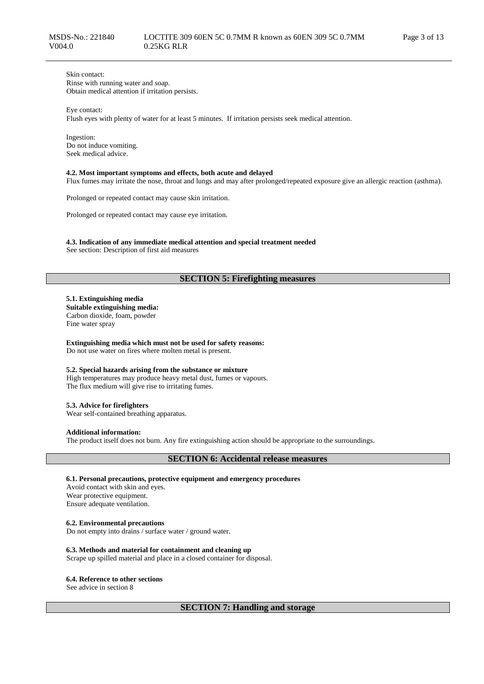Skin contact: Rinse with running water and soap. Obtain medical attention if irritation persists.

Eye contact: Flush eyes with plenty of water for at least 5 minutes. If irritation persists seek medical attention.

Ingestion: Do not induce vomiting. Seek medical advice.

#### **4.2. Most important symptoms and effects, both acute and delayed**

Flux fumes may irritate the nose, throat and lungs and may after prolonged/repeated exposure give an allergic reaction (asthma).

Prolonged or repeated contact may cause skin irritation.

Prolonged or repeated contact may cause eye irritation.

**4.3. Indication of any immediate medical attention and special treatment needed**

See section: Description of first aid measures

# **SECTION 5: Firefighting measures**

**5.1. Extinguishing media Suitable extinguishing media:** Carbon dioxide, foam, powder Fine water spray

**Extinguishing media which must not be used for safety reasons:** Do not use water on fires where molten metal is present.

#### **5.2. Special hazards arising from the substance or mixture**

High temperatures may produce heavy metal dust, fumes or vapours. The flux medium will give rise to irritating fumes.

#### **5.3. Advice for firefighters**

Wear self-contained breathing apparatus.

#### **Additional information:**

The product itself does not burn. Any fire extinguishing action should be appropriate to the surroundings.

# **SECTION 6: Accidental release measures**

### **6.1. Personal precautions, protective equipment and emergency procedures**

Avoid contact with skin and eyes. Wear protective equipment. Ensure adequate ventilation.

#### **6.2. Environmental precautions**

Do not empty into drains / surface water / ground water.

# **6.3. Methods and material for containment and cleaning up**

Scrape up spilled material and place in a closed container for disposal.

### **6.4. Reference to other sections**

See advice in section 8

**SECTION 7: Handling and storage**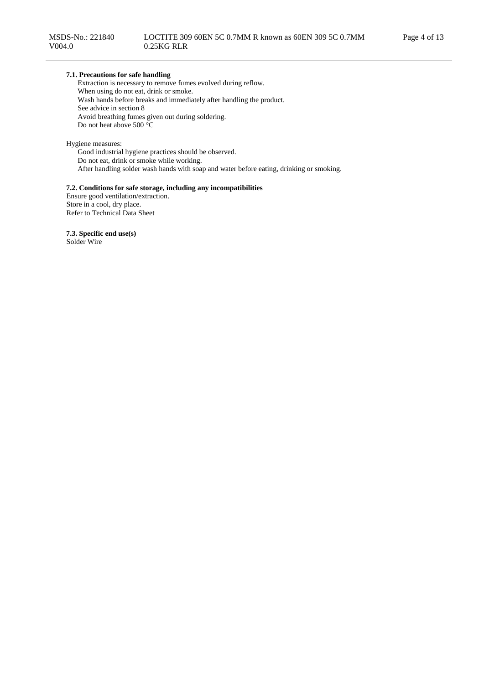# **7.1. Precautions for safe handling**

Extraction is necessary to remove fumes evolved during reflow. When using do not eat, drink or smoke. Wash hands before breaks and immediately after handling the product. See advice in section 8 Avoid breathing fumes given out during soldering. Do not heat above 500 °C

Hygiene measures:

Good industrial hygiene practices should be observed. Do not eat, drink or smoke while working. After handling solder wash hands with soap and water before eating, drinking or smoking.

# **7.2. Conditions for safe storage, including any incompatibilities**

Ensure good ventilation/extraction. Store in a cool, dry place. Refer to Technical Data Sheet

**7.3. Specific end use(s)** Solder Wire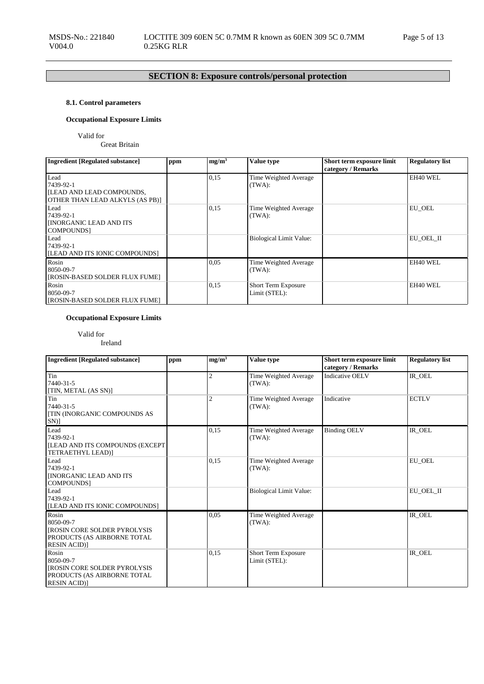# **SECTION 8: Exposure controls/personal protection**

# **8.1. Control parameters**

# **Occupational Exposure Limits**

Valid for

Great Britain

| <b>Ingredient [Regulated substance]</b>                                                  | ppm | mg/m <sup>3</sup> | Value type                           | Short term exposure limit<br>category / Remarks | <b>Regulatory list</b> |
|------------------------------------------------------------------------------------------|-----|-------------------|--------------------------------------|-------------------------------------------------|------------------------|
| Lead<br>7439-92-1<br><b>ILEAD AND LEAD COMPOUNDS,</b><br>OTHER THAN LEAD ALKYLS (AS PB)] |     | 0,15              | Time Weighted Average<br>(TWA):      |                                                 | EH40 WEL               |
| Lead<br>7439-92-1<br><b>INORGANIC LEAD AND ITS</b><br><b>COMPOUNDS</b>                   |     | 0,15              | Time Weighted Average<br>(TWA):      |                                                 | EU OEL                 |
| Lead<br>7439-92-1<br>[LEAD AND ITS IONIC COMPOUNDS]                                      |     |                   | <b>Biological Limit Value:</b>       |                                                 | EU OEL II              |
| Rosin<br>8050-09-7<br>[ROSIN-BASED SOLDER FLUX FUME]                                     |     | 0.05              | Time Weighted Average<br>(TWA):      |                                                 | EH40 WEL               |
| Rosin<br>8050-09-7<br>[ROSIN-BASED SOLDER FLUX FUME]                                     |     | 0,15              | Short Term Exposure<br>Limit (STEL): |                                                 | EH40 WEL               |

# **Occupational Exposure Limits**

Valid for

Ireland

| <b>Ingredient [Regulated substance]</b>                                                                        | ppm | mg/m <sup>3</sup> | <b>Value type</b>                    | Short term exposure limit<br>category / Remarks | <b>Regulatory list</b> |
|----------------------------------------------------------------------------------------------------------------|-----|-------------------|--------------------------------------|-------------------------------------------------|------------------------|
| Tin<br>7440-31-5<br>[TIN, METAL (AS SN)]                                                                       |     | 2                 | Time Weighted Average<br>(TWA):      | <b>Indicative OELV</b>                          | IR_OEL                 |
| Tin<br>7440-31-5<br><b>[TIN (INORGANIC COMPOUNDS AS</b><br>$SN$ ]                                              |     | $\overline{2}$    | Time Weighted Average<br>(TWA):      | Indicative                                      | <b>ECTLV</b>           |
| Lead<br>7439-92-1<br><b>[LEAD AND ITS COMPOUNDS (EXCEPT)</b><br>TETRAETHYL LEAD)]                              |     | 0,15              | Time Weighted Average<br>(TWA):      | <b>Binding OELV</b>                             | IR_OEL                 |
| Lead<br>7439-92-1<br><b>INORGANIC LEAD AND ITS</b><br>COMPOUNDS]                                               |     | 0.15              | Time Weighted Average<br>(TWA):      |                                                 | EU_OEL                 |
| Lead<br>7439-92-1<br>[LEAD AND ITS IONIC COMPOUNDS]                                                            |     |                   | <b>Biological Limit Value:</b>       |                                                 | EU_OEL_II              |
| Rosin<br>8050-09-7<br><b>IROSIN CORE SOLDER PYROLYSIS</b><br>PRODUCTS (AS AIRBORNE TOTAL<br><b>RESIN ACID)</b> |     | 0.05              | Time Weighted Average<br>(TWA):      |                                                 | $IR$ <sup>OEL</sup>    |
| Rosin<br>8050-09-7<br><b>[ROSIN CORE SOLDER PYROLYSIS</b><br>PRODUCTS (AS AIRBORNE TOTAL<br><b>RESIN ACID)</b> |     | 0.15              | Short Term Exposure<br>Limit (STEL): |                                                 | IR_OEL                 |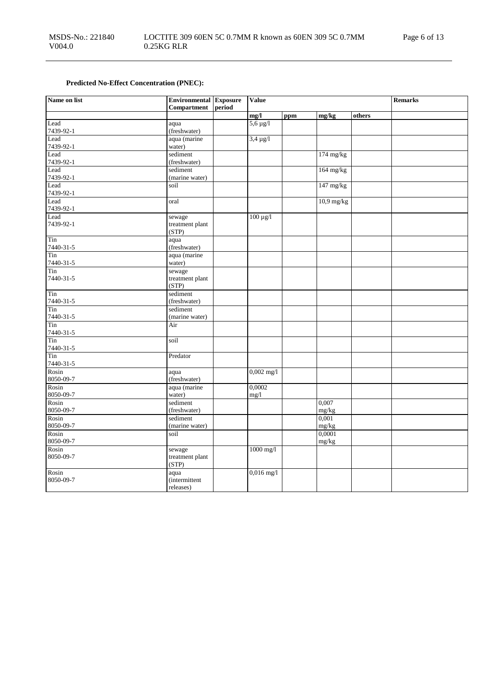# **Predicted No-Effect Concentration (PNEC):**

| Name on list       | <b>Environmental Exposure</b> |        | <b>Value</b>          |     |                                   |        | <b>Remarks</b> |
|--------------------|-------------------------------|--------|-----------------------|-----|-----------------------------------|--------|----------------|
|                    | <b>Compartment</b>            | period |                       |     |                                   | others |                |
| Lead               |                               |        | mg/l<br>$5,6 \mu g/l$ | ppm | mg/kg                             |        |                |
| 7439-92-1          | aqua<br>(freshwater)          |        |                       |     |                                   |        |                |
| Lead               | aqua (marine                  |        | $3,4 \mu g/l$         |     |                                   |        |                |
| 7439-92-1          | water)                        |        |                       |     |                                   |        |                |
| Lead               | sediment                      |        |                       |     | 174 mg/kg                         |        |                |
| 7439-92-1          | (freshwater)                  |        |                       |     |                                   |        |                |
| Lead               | sediment                      |        |                       |     | $164$ mg/kg                       |        |                |
| 7439-92-1          | (marine water)                |        |                       |     |                                   |        |                |
| Lead<br>7439-92-1  | soil                          |        |                       |     | $147 \frac{\text{mg}}{\text{kg}}$ |        |                |
| Lead               | oral                          |        |                       |     | $10,9$ mg/kg                      |        |                |
| 7439-92-1          |                               |        |                       |     |                                   |        |                |
| Lead               | sewage                        |        | $100 \mu g/l$         |     |                                   |        |                |
| 7439-92-1          | treatment plant               |        |                       |     |                                   |        |                |
|                    | (STP)                         |        |                       |     |                                   |        |                |
| Tin<br>7440-31-5   | aqua<br>(freshwater)          |        |                       |     |                                   |        |                |
| Tin                | aqua (marine                  |        |                       |     |                                   |        |                |
| 7440-31-5          | water)                        |        |                       |     |                                   |        |                |
| Tin                | sewage                        |        |                       |     |                                   |        |                |
| 7440-31-5          | treatment plant               |        |                       |     |                                   |        |                |
| Tin                | (STP)<br>sediment             |        |                       |     |                                   |        |                |
| 7440-31-5          | (freshwater)                  |        |                       |     |                                   |        |                |
| Tin                | sediment                      |        |                       |     |                                   |        |                |
| 7440-31-5          | (marine water)                |        |                       |     |                                   |        |                |
| Tin                | Air                           |        |                       |     |                                   |        |                |
| 7440-31-5          |                               |        |                       |     |                                   |        |                |
| Tin                | soil                          |        |                       |     |                                   |        |                |
| 7440-31-5<br>Tin   |                               |        |                       |     |                                   |        |                |
| 7440-31-5          | Predator                      |        |                       |     |                                   |        |                |
| Rosin              | aqua                          |        | $0,002$ mg/l          |     |                                   |        |                |
| 8050-09-7          | (freshwater)                  |        |                       |     |                                   |        |                |
| Rosin              | aqua (marine                  |        | 0,0002                |     |                                   |        |                |
| 8050-09-7          | water)                        |        | mg/1                  |     |                                   |        |                |
| Rosin              | sediment                      |        |                       |     | 0.007                             |        |                |
| 8050-09-7          | (freshwater)                  |        |                       |     | mg/kg                             |        |                |
| Rosin              | sediment                      |        |                       |     | 0,001                             |        |                |
| 8050-09-7<br>Rosin | (marine water)<br>soil        |        |                       |     | mg/kg<br>0,0001                   |        |                |
| 8050-09-7          |                               |        |                       |     | mg/kg                             |        |                |
| Rosin              | sewage                        |        | $1000$ mg/l           |     |                                   |        |                |
| 8050-09-7          | treatment plant               |        |                       |     |                                   |        |                |
|                    | (STP)                         |        |                       |     |                                   |        |                |
| Rosin              | aqua                          |        | $0,016$ mg/l          |     |                                   |        |                |
| 8050-09-7          | <i>(intermittent)</i>         |        |                       |     |                                   |        |                |
|                    | releases)                     |        |                       |     |                                   |        |                |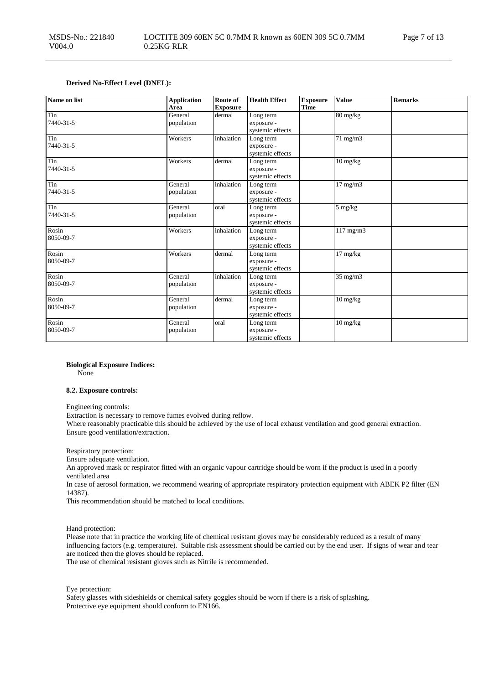## **Derived No-Effect Level (DNEL):**

| Name on list       | <b>Application</b><br>Area | Route of<br><b>Exposure</b> | <b>Health Effect</b>                        | <b>Exposure</b><br><b>Time</b> | Value                            | <b>Remarks</b> |
|--------------------|----------------------------|-----------------------------|---------------------------------------------|--------------------------------|----------------------------------|----------------|
| Tin<br>7440-31-5   | General<br>population      | dermal                      | Long term<br>exposure -<br>systemic effects |                                | $80 \text{ mg/kg}$               |                |
| Tin<br>7440-31-5   | Workers                    | inhalation                  | Long term<br>exposure -<br>systemic effects |                                | $71 \text{ mg/m}$                |                |
| Tin<br>7440-31-5   | Workers                    | dermal                      | Long term<br>exposure -<br>systemic effects |                                | $10 \text{ mg/kg}$               |                |
| Tin<br>7440-31-5   | General<br>population      | inhalation                  | Long term<br>exposure -<br>systemic effects |                                | $17$ mg/m $3$                    |                |
| Tin<br>7440-31-5   | General<br>population      | oral                        | Long term<br>exposure -<br>systemic effects |                                | $5 \ \mathrm{mg/kg}$             |                |
| Rosin<br>8050-09-7 | Workers                    | inhalation                  | Long term<br>exposure -<br>systemic effects |                                | $117$ mg/m $3$                   |                |
| Rosin<br>8050-09-7 | Workers                    | dermal                      | Long term<br>exposure -<br>systemic effects |                                | $17 \text{ mg/kg}$               |                |
| Rosin<br>8050-09-7 | General<br>population      | inhalation                  | Long term<br>exposure -<br>systemic effects |                                | 35 mg/m3                         |                |
| Rosin<br>8050-09-7 | General<br>population      | dermal                      | Long term<br>exposure -<br>systemic effects |                                | $10 \text{ mg/kg}$               |                |
| Rosin<br>8050-09-7 | General<br>population      | oral                        | Long term<br>exposure -<br>systemic effects |                                | $10 \frac{\text{mg}}{\text{kg}}$ |                |

**Biological Exposure Indices:**

None

#### **8.2. Exposure controls:**

Engineering controls:

Extraction is necessary to remove fumes evolved during reflow.

Where reasonably practicable this should be achieved by the use of local exhaust ventilation and good general extraction. Ensure good ventilation/extraction.

Respiratory protection:

Ensure adequate ventilation.

An approved mask or respirator fitted with an organic vapour cartridge should be worn if the product is used in a poorly ventilated area

In case of aerosol formation, we recommend wearing of appropriate respiratory protection equipment with ABEK P2 filter (EN 14387).

This recommendation should be matched to local conditions.

Hand protection:

Please note that in practice the working life of chemical resistant gloves may be considerably reduced as a result of many influencing factors (e.g. temperature). Suitable risk assessment should be carried out by the end user. If signs of wear and tear are noticed then the gloves should be replaced.

The use of chemical resistant gloves such as Nitrile is recommended.

Eye protection:

Safety glasses with sideshields or chemical safety goggles should be worn if there is a risk of splashing. Protective eye equipment should conform to EN166.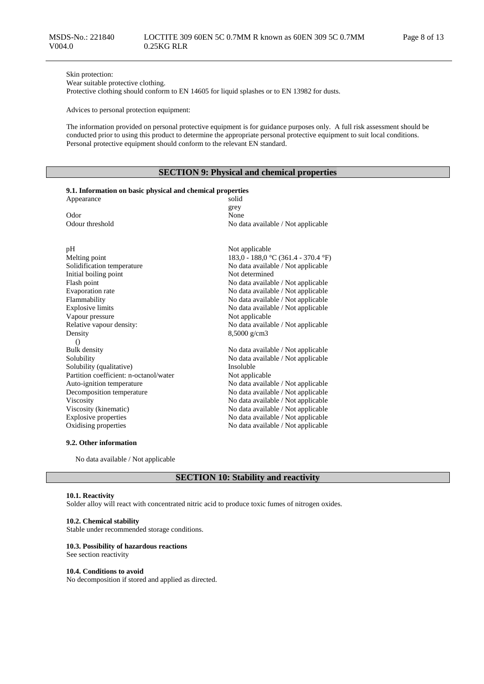Skin protection:

Wear suitable protective clothing.

Protective clothing should conform to EN 14605 for liquid splashes or to EN 13982 for dusts.

Advices to personal protection equipment:

The information provided on personal protective equipment is for guidance purposes only. A full risk assessment should be conducted prior to using this product to determine the appropriate personal protective equipment to suit local conditions. Personal protective equipment should conform to the relevant EN standard.

# **SECTION 9: Physical and chemical properties**

|  | 9.1. Information on basic physical and chemical properties |  |  |  |  |  |  |
|--|------------------------------------------------------------|--|--|--|--|--|--|
|--|------------------------------------------------------------|--|--|--|--|--|--|

| Appearance                             | solid                               |
|----------------------------------------|-------------------------------------|
|                                        | grey                                |
| Odor                                   | None                                |
| Odour threshold                        | No data available / Not applicable  |
|                                        |                                     |
|                                        |                                     |
| pH                                     | Not applicable                      |
| Melting point                          | 183,0 - 188,0 °C (361.4 - 370.4 °F) |
| Solidification temperature             | No data available / Not applicable  |
| Initial boiling point                  | Not determined                      |
| Flash point                            | No data available / Not applicable  |
| Evaporation rate                       | No data available / Not applicable  |
| Flammability                           | No data available / Not applicable  |
| <b>Explosive limits</b>                | No data available / Not applicable  |
| Vapour pressure                        | Not applicable                      |
| Relative vapour density:               | No data available / Not applicable  |
| Density                                | $8,5000 \text{ g/cm}$ 3             |
| $\Omega$                               |                                     |
| <b>Bulk density</b>                    | No data available / Not applicable  |
| Solubility                             | No data available / Not applicable  |
| Solubility (qualitative)               | Insoluble                           |
| Partition coefficient: n-octanol/water | Not applicable                      |
| Auto-ignition temperature              | No data available / Not applicable  |
| Decomposition temperature              | No data available / Not applicable  |
| Viscosity                              | No data available / Not applicable  |
| Viscosity (kinematic)                  | No data available / Not applicable  |
| <b>Explosive properties</b>            | No data available / Not applicable  |
| Oxidising properties                   | No data available / Not applicable  |
|                                        |                                     |

# **9.2. Other information**

No data available / Not applicable

# **SECTION 10: Stability and reactivity**

### **10.1. Reactivity**

Solder alloy will react with concentrated nitric acid to produce toxic fumes of nitrogen oxides.

#### **10.2. Chemical stability**

Stable under recommended storage conditions.

### **10.3. Possibility of hazardous reactions**

See section reactivity

#### **10.4. Conditions to avoid**

No decomposition if stored and applied as directed.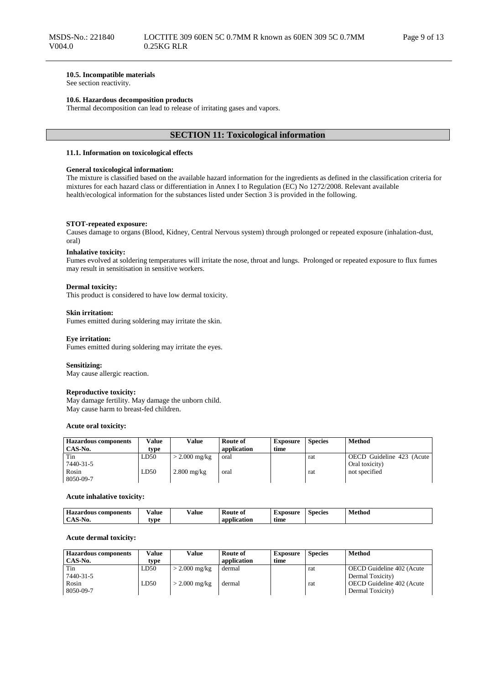#### **10.5. Incompatible materials**

See section reactivity.

#### **10.6. Hazardous decomposition products**

Thermal decomposition can lead to release of irritating gases and vapors.

# **SECTION 11: Toxicological information**

#### **11.1. Information on toxicological effects**

#### **General toxicological information:**

The mixture is classified based on the available hazard information for the ingredients as defined in the classification criteria for mixtures for each hazard class or differentiation in Annex I to Regulation (EC) No 1272/2008. Relevant available health/ecological information for the substances listed under Section 3 is provided in the following.

#### **STOT-repeated exposure:**

Causes damage to organs (Blood, Kidney, Central Nervous system) through prolonged or repeated exposure (inhalation-dust, oral)

#### **Inhalative toxicity:**

Fumes evolved at soldering temperatures will irritate the nose, throat and lungs. Prolonged or repeated exposure to flux fumes may result in sensitisation in sensitive workers.

#### **Dermal toxicity:**

This product is considered to have low dermal toxicity.

#### **Skin irritation:**

Fumes emitted during soldering may irritate the skin.

# **Eye irritation:**

Fumes emitted during soldering may irritate the eyes.

#### **Sensitizing:**

May cause allergic reaction.

#### **Reproductive toxicity:**

May damage fertility. May damage the unborn child. May cause harm to breast-fed children.

#### **Acute oral toxicity:**

| <b>Hazardous components</b> | <b>Value</b> | <b>Value</b>  | Route of    | <b>Exposure</b> | <b>Species</b> | <b>Method</b>             |
|-----------------------------|--------------|---------------|-------------|-----------------|----------------|---------------------------|
| CAS-No.                     | type         |               | application | time            |                |                           |
| Tin                         | LD50         | > 2.000 mg/kg | oral        |                 | rat            | OECD Guideline 423 (Acute |
| 7440-31-5                   |              |               |             |                 |                | Oral toxicity)            |
| Rosin                       | LD50         | $2.800$ mg/kg | oral        |                 | rat            | not specified             |
| 8050-09-7                   |              |               |             |                 |                |                           |

#### **Acute inhalative toxicity:**

| Hazard<br>: components<br>rdous<br>-1azar | ⁄ alue | ⁄ alue | <b>Route of</b>    | Exposure | <b>Species</b> | Method<br>. |
|-------------------------------------------|--------|--------|--------------------|----------|----------------|-------------|
| $\Lambda$ C $\Gamma$<br>-NO.<br>-A0-      | vpe    |        | . .<br>application | time     |                |             |

#### **Acute dermal toxicity:**

| <b>Hazardous components</b> | Value | Value                   | <b>Route of</b> | <b>Exposure</b> | <b>Species</b> | <b>Method</b>             |
|-----------------------------|-------|-------------------------|-----------------|-----------------|----------------|---------------------------|
| CAS-No.                     | tvpe  |                         | application     | time            |                |                           |
| Tin                         | LD50  | $>$ 2.000 mg/kg         | dermal          |                 | rat            | OECD Guideline 402 (Acute |
| 7440-31-5                   |       |                         |                 |                 |                | Dermal Toxicity)          |
| Rosin                       | LD50  | $> 2.000 \text{ mg/kg}$ | dermal          |                 | rat            | OECD Guideline 402 (Acute |
| 8050-09-7                   |       |                         |                 |                 |                | Dermal Toxicity)          |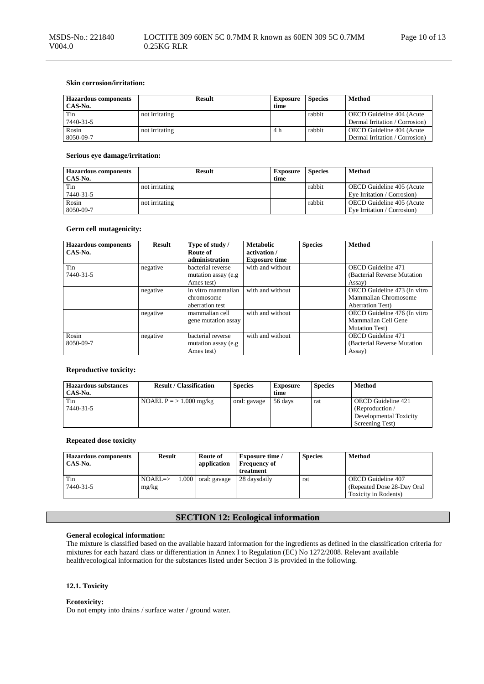# **Skin corrosion/irritation:**

| <b>Hazardous components</b> | <b>Result</b>  | <b>Exposure</b> | <b>Species</b> | Method                         |
|-----------------------------|----------------|-----------------|----------------|--------------------------------|
| CAS-No.                     |                | time            |                |                                |
| Tin                         | not irritating |                 | rabbit         | OECD Guideline 404 (Acute      |
| 7440-31-5                   |                |                 |                | Dermal Irritation / Corrosion) |
| Rosin                       | not irritating | 4 h             | rabbit         | OECD Guideline 404 (Acute      |
| 8050-09-7                   |                |                 |                | Dermal Irritation / Corrosion) |

### **Serious eye damage/irritation:**

| <b>Hazardous components</b><br>CAS-No. | <b>Result</b>  | <b>Exposure</b><br>time | <b>Species</b> | Method                      |
|----------------------------------------|----------------|-------------------------|----------------|-----------------------------|
| Tin                                    | not irritating |                         | rabbit         | OECD Guideline 405 (Acute   |
| 7440-31-5                              |                |                         |                | Eye Irritation / Corrosion) |
| Rosin                                  | not irritating |                         | rabbit         | OECD Guideline 405 (Acute   |
| 8050-09-7                              |                |                         |                | Eve Irritation / Corrosion) |

# **Germ cell mutagenicity:**

| <b>Hazardous components</b> | Result   | Type of study /      | <b>Metabolic</b>     | <b>Species</b> | <b>Method</b>                |
|-----------------------------|----------|----------------------|----------------------|----------------|------------------------------|
| CAS-No.                     |          | Route of             | activation /         |                |                              |
|                             |          | administration       | <b>Exposure time</b> |                |                              |
| Tin                         | negative | bacterial reverse    | with and without     |                | <b>OECD</b> Guideline 471    |
| 7440-31-5                   |          | mutation assay (e.g. |                      |                | (Bacterial Reverse Mutation) |
|                             |          | Ames test)           |                      |                | Assay)                       |
|                             | negative | in vitro mammalian   | with and without     |                | OECD Guideline 473 (In vitro |
|                             |          | chromosome           |                      |                | Mammalian Chromosome         |
|                             |          | aberration test      |                      |                | <b>Aberration Test</b> )     |
|                             | negative | mammalian cell       | with and without     |                | OECD Guideline 476 (In vitro |
|                             |          | gene mutation assay  |                      |                | Mammalian Cell Gene          |
|                             |          |                      |                      |                | <b>Mutation Test</b> )       |
| Rosin                       | negative | bacterial reverse    | with and without     |                | <b>OECD</b> Guideline 471    |
| 8050-09-7                   |          | mutation assay (e.g. |                      |                | (Bacterial Reverse Mutation) |
|                             |          | Ames test)           |                      |                | Assay)                       |

# **Reproductive toxicity:**

| <b>Hazardous substances</b><br>CAS-No. | <b>Result / Classification</b> | <b>Species</b> | <b>Exposure</b><br>time | <b>Species</b> | Method                                                                               |
|----------------------------------------|--------------------------------|----------------|-------------------------|----------------|--------------------------------------------------------------------------------------|
| Tin<br>7440-31-5                       | NOAEL $P = > 1.000$ mg/kg      | oral: gavage   | 56 days                 | rat            | OECD Guideline 421<br>(Reproduction $/$<br>Developmental Toxicity<br>Screening Test) |

# **Repeated dose toxicity**

| <b>Hazardous components</b><br>CAS-No. | Result                                | Route of<br>application | <b>Exposure time</b> /<br><b>Frequency of</b><br>treatment | <b>Species</b> | Method                                                                    |
|----------------------------------------|---------------------------------------|-------------------------|------------------------------------------------------------|----------------|---------------------------------------------------------------------------|
| Tin<br>7440-31-5                       | 1.000<br>$NOAEL \Rightarrow$<br>mg/kg | oral: gavage            | 28 davsdaily                                               | rat            | OECD Guideline 407<br>(Repeated Dose 28-Day Oral)<br>Toxicity in Rodents) |

# **SECTION 12: Ecological information**

#### **General ecological information:**

The mixture is classified based on the available hazard information for the ingredients as defined in the classification criteria for mixtures for each hazard class or differentiation in Annex I to Regulation (EC) No 1272/2008. Relevant available health/ecological information for the substances listed under Section 3 is provided in the following.

### **12.1. Toxicity**

#### **Ecotoxicity:**

Do not empty into drains / surface water / ground water.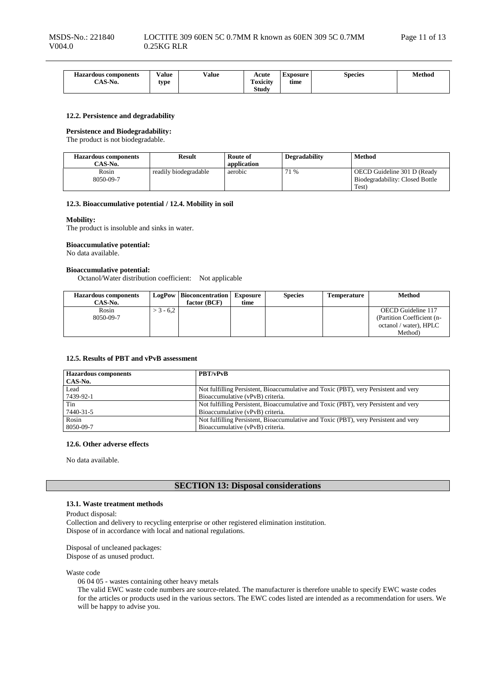| --<br><b>Hazardous components</b> | -- -<br>∕alue | /alue | Acute          | Exposure | Species | <b>Method</b> |
|-----------------------------------|---------------|-------|----------------|----------|---------|---------------|
|                                   |               |       |                |          |         |               |
| $C$ and $N$ .<br>NO.              | tvpe          |       | √oxicitv<br>m. | time     |         |               |
|                                   |               |       |                |          |         |               |
|                                   |               |       | Study          |          |         |               |
|                                   |               |       |                |          |         |               |

#### **12.2. Persistence and degradability**

#### **Persistence and Biodegradability:**

The product is not biodegradable.

| <b>Hazardous components</b> | Result                | Route of    | <b>Degradability</b> | <b>Method</b>                                                           |
|-----------------------------|-----------------------|-------------|----------------------|-------------------------------------------------------------------------|
| CAS-No.                     |                       | application |                      |                                                                         |
| Rosin<br>8050-09-7          | readily biodegradable | aerobic     | 71 %                 | OECD Guideline 301 D (Ready<br>Biodegradability: Closed Bottle<br>Test) |

### **12.3. Bioaccumulative potential / 12.4. Mobility in soil**

#### **Mobility:**

The product is insoluble and sinks in water.

### **Bioaccumulative potential:**

No data available.

# **Bioaccumulative potential:**

Octanol/Water distribution coefficient: Not applicable

| <b>Hazardous components</b> |           | <b>LogPow</b>   Bioconcentration | Exposure | <b>Species</b> | <b>Temperature</b> | Method                     |
|-----------------------------|-----------|----------------------------------|----------|----------------|--------------------|----------------------------|
| CAS-No.                     |           | factor (BCF)                     | time     |                |                    |                            |
| Rosin                       | $3 - 6.2$ |                                  |          |                |                    | OECD Guideline 117         |
| 8050-09-7                   |           |                                  |          |                |                    | (Partition Coefficient (n- |
|                             |           |                                  |          |                |                    | octanol / water), HPLC     |
|                             |           |                                  |          |                |                    | Method)                    |

#### **12.5. Results of PBT and vPvB assessment**

| <b>Hazardous components</b> | <b>PBT/vPvB</b>                                                                      |
|-----------------------------|--------------------------------------------------------------------------------------|
| CAS-No.                     |                                                                                      |
| Lead                        | Not fulfilling Persistent, Bioaccumulative and Toxic (PBT), very Persistent and very |
| 7439-92-1                   | Bioaccumulative (vPvB) criteria.                                                     |
| Tin                         | Not fulfilling Persistent, Bioaccumulative and Toxic (PBT), very Persistent and very |
| 7440-31-5                   | Bioaccumulative (vPvB) criteria.                                                     |
| Rosin                       | Not fulfilling Persistent, Bioaccumulative and Toxic (PBT), very Persistent and very |
| 8050-09-7                   | Bioaccumulative (vPvB) criteria.                                                     |

#### **12.6. Other adverse effects**

No data available.

# **SECTION 13: Disposal considerations**

### **13.1. Waste treatment methods**

Product disposal:

Collection and delivery to recycling enterprise or other registered elimination institution. Dispose of in accordance with local and national regulations.

Disposal of uncleaned packages: Dispose of as unused product.

Waste code

06 04 05 - wastes containing other heavy metals

The valid EWC waste code numbers are source-related. The manufacturer is therefore unable to specify EWC waste codes for the articles or products used in the various sectors. The EWC codes listed are intended as a recommendation for users. We will be happy to advise you.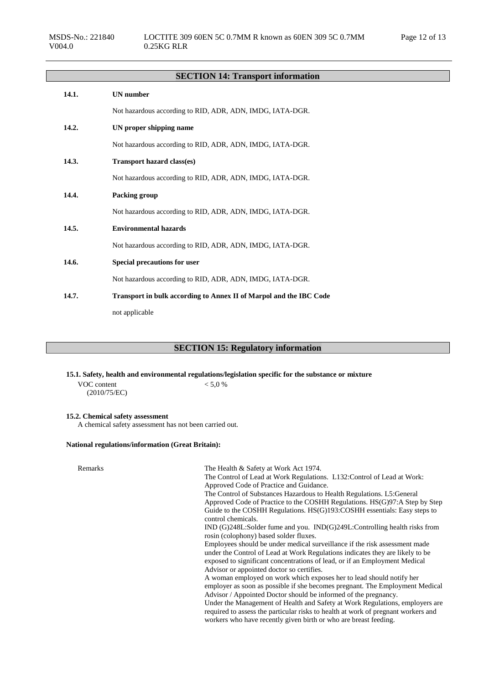# **SECTION 14: Transport information**

| 14.1. | <b>UN</b> number                                                   |
|-------|--------------------------------------------------------------------|
|       | Not hazardous according to RID, ADR, ADN, IMDG, IATA-DGR.          |
| 14.2. | UN proper shipping name                                            |
|       | Not hazardous according to RID, ADR, ADN, IMDG, IATA-DGR.          |
| 14.3. | <b>Transport hazard class(es)</b>                                  |
|       | Not hazardous according to RID, ADR, ADN, IMDG, IATA-DGR.          |
| 14.4. | Packing group                                                      |
|       | Not hazardous according to RID, ADR, ADN, IMDG, IATA-DGR.          |
| 14.5. | <b>Environmental hazards</b>                                       |
|       | Not hazardous according to RID, ADR, ADN, IMDG, IATA-DGR.          |
| 14.6. | <b>Special precautions for user</b>                                |
|       | Not hazardous according to RID, ADR, ADN, IMDG, IATA-DGR.          |
| 14.7. | Transport in bulk according to Annex II of Marpol and the IBC Code |
|       | not applicable                                                     |

# **SECTION 15: Regulatory information**

**15.1. Safety, health and environmental regulations/legislation specific for the substance or mixture**

VOC content (2010/75/EC)  $< 5,0 %$ 

# **15.2. Chemical safety assessment**

A chemical safety assessment has not been carried out.

# **National regulations/information (Great Britain):**

| Remarks | The Health & Safety at Work Act 1974.                                                                                                                 |
|---------|-------------------------------------------------------------------------------------------------------------------------------------------------------|
|         | The Control of Lead at Work Regulations. L132: Control of Lead at Work:                                                                               |
|         | Approved Code of Practice and Guidance.                                                                                                               |
|         | The Control of Substances Hazardous to Health Regulations. L5: General                                                                                |
|         | Approved Code of Practice to the COSHH Regulations. HS(G)97:A Step by Step                                                                            |
|         | Guide to the COSHH Regulations. $HS(G)$ 193:COSHH essentials: Easy steps to                                                                           |
|         | control chemicals.                                                                                                                                    |
|         | IND (G)248L:Solder fume and you. IND(G)249L:Controlling health risks from                                                                             |
|         | rosin (colophony) based solder fluxes.                                                                                                                |
|         | Employees should be under medical surveillance if the risk assessment made                                                                            |
|         | under the Control of Lead at Work Regulations indicates they are likely to be                                                                         |
|         | exposed to significant concentrations of lead, or if an Employment Medical                                                                            |
|         | Advisor or appointed doctor so certifies.                                                                                                             |
|         | A woman employed on work which exposes her to lead should notify her                                                                                  |
|         | employer as soon as possible if she becomes pregnant. The Employment Medical                                                                          |
|         | Advisor / Appointed Doctor should be informed of the pregnancy.                                                                                       |
|         | Under the Management of Health and Safety at Work Regulations, employers are                                                                          |
|         | required to assess the particular risks to health at work of pregnant workers and<br>workers who have recently given birth or who are breast feeding. |
|         |                                                                                                                                                       |